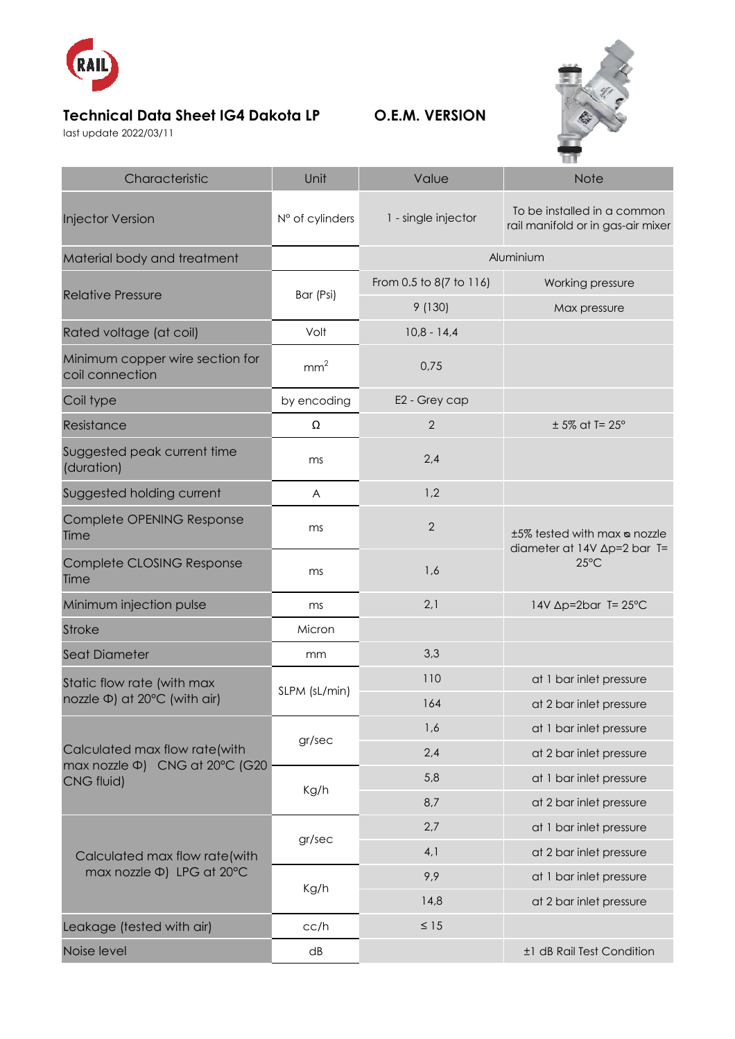

## **Technical Data Sheet IG4 Dakota LP O.E.M. VERSION**

last update 2022/03/11



| Characteristic                                                                | Unit            | Value                   | <b>Note</b>                                                                   |
|-------------------------------------------------------------------------------|-----------------|-------------------------|-------------------------------------------------------------------------------|
| <b>Injector Version</b>                                                       | N° of cylinders | 1 - single injector     | To be installed in a common<br>rail manifold or in gas-air mixer              |
| Material body and treatment                                                   |                 | Aluminium               |                                                                               |
| <b>Relative Pressure</b>                                                      | Bar (Psi)       | From 0.5 to 8(7 to 116) | Working pressure                                                              |
|                                                                               |                 | 9 (130)                 | Max pressure                                                                  |
| Rated voltage (at coil)                                                       | Volt            | $10,8 - 14,4$           |                                                                               |
| Minimum copper wire section for<br>coil connection                            | mm <sup>2</sup> | 0,75                    |                                                                               |
| Coil type                                                                     | by encoding     | E2 - Grey cap           |                                                                               |
| Resistance                                                                    | Ω               | $\overline{2}$          | $± 5\%$ at T= 25°                                                             |
| Suggested peak current time<br>(duration)                                     | ms              | 2,4                     |                                                                               |
| Suggested holding current                                                     | A               | 1,2                     |                                                                               |
| Complete OPENING Response<br>Time                                             | ms              | $\overline{2}$          | t5% tested with max a nozzle<br>diameter at 14V ∆p=2 bar T=<br>$25^{\circ}$ C |
| Complete CLOSING Response<br>Time                                             | ms              | 1,6                     |                                                                               |
| Minimum injection pulse                                                       | ms              | 2,1                     | 14V Ap=2bar T= 25°C                                                           |
| <b>Stroke</b>                                                                 | Micron          |                         |                                                                               |
| <b>Seat Diameter</b>                                                          | mm              | 3,3                     |                                                                               |
| Static flow rate (with max                                                    | SLPM (sL/min)   | 110                     | at 1 bar inlet pressure                                                       |
| nozzle Φ) at 20°C (with air)                                                  |                 | 164                     | at 2 bar inlet pressure                                                       |
| Calculated max flow rate(with<br>max nozzle Φ) CNG at 20°C (G20<br>CNG fluid) | gr/sec          | 1,6                     | at 1 bar inlet pressure                                                       |
|                                                                               |                 | 2,4                     | at 2 bar inlet pressure                                                       |
|                                                                               | Kg/h            | 5,8                     | at 1 bar inlet pressure                                                       |
|                                                                               |                 | 8,7                     | at 2 bar inlet pressure                                                       |
| Calculated max flow rate(with<br>max nozzle $\Phi$ ) LPG at 20°C              | gr/sec          | 2,7                     | at 1 bar inlet pressure                                                       |
|                                                                               |                 | 4,1                     | at 2 bar inlet pressure                                                       |
|                                                                               | Kg/h            | 9,9                     | at 1 bar inlet pressure                                                       |
|                                                                               |                 | 14,8                    | at 2 bar inlet pressure                                                       |
| Leakage (tested with air)                                                     | cc/h            | $\leq 15$               |                                                                               |
| Noise level                                                                   | dB              |                         | ±1 dB Rail Test Condition                                                     |